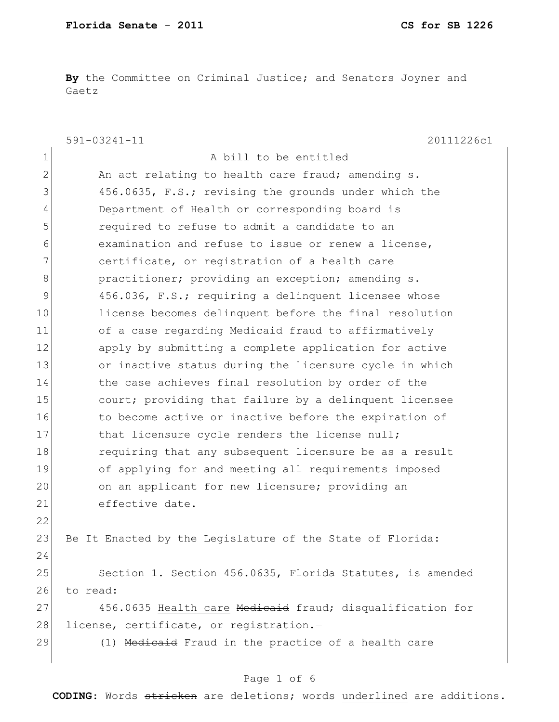**By** the Committee on Criminal Justice; and Senators Joyner and Gaetz

|               | $591 - 03241 - 11$<br>20111226c1                          |
|---------------|-----------------------------------------------------------|
| 1             | A bill to be entitled                                     |
| $\mathbf{2}$  | An act relating to health care fraud; amending s.         |
| 3             | 456.0635, F.S.; revising the grounds under which the      |
| 4             | Department of Health or corresponding board is            |
| 5             | required to refuse to admit a candidate to an             |
| 6             | examination and refuse to issue or renew a license,       |
| 7             | certificate, or registration of a health care             |
| 8             | practitioner; providing an exception; amending s.         |
| $\mathcal{G}$ | 456.036, F.S.; requiring a delinquent licensee whose      |
| 10            | license becomes delinquent before the final resolution    |
| 11            | of a case regarding Medicaid fraud to affirmatively       |
| 12            | apply by submitting a complete application for active     |
| 13            | or inactive status during the licensure cycle in which    |
| 14            | the case achieves final resolution by order of the        |
| 15            | court; providing that failure by a delinquent licensee    |
| 16            | to become active or inactive before the expiration of     |
| 17            | that licensure cycle renders the license null;            |
| 18            | requiring that any subsequent licensure be as a result    |
| 19            | of applying for and meeting all requirements imposed      |
| 20            | on an applicant for new licensure; providing an           |
| 21            | effective date.                                           |
| 22            |                                                           |
| 23            | Be It Enacted by the Legislature of the State of Florida: |
| 24            |                                                           |
| 25            | Section 1. Section 456.0635, Florida Statutes, is amended |
| 26            | to read:                                                  |
| 27            | 456.0635 Health care Medicaid fraud; disqualification for |
| 28            | license, certificate, or registration.-                   |
| 29            | (1) Medicaid Fraud in the practice of a health care       |
|               |                                                           |

# Page 1 of 6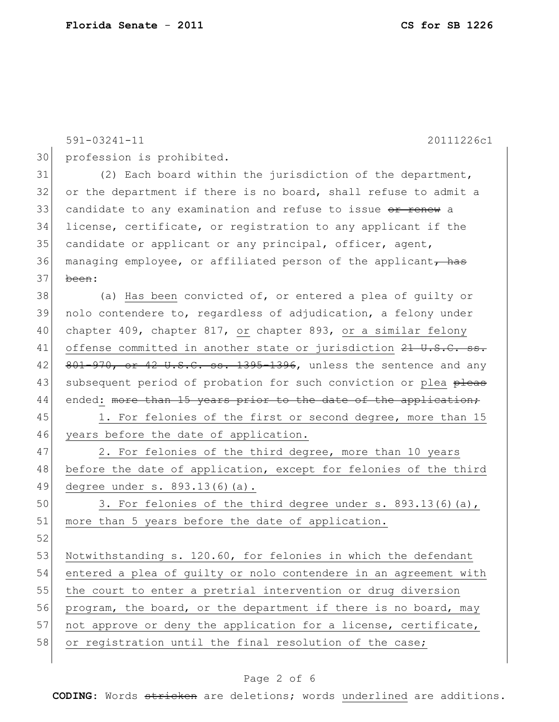|    | $591 - 03241 - 11$<br>20111226c1                                 |
|----|------------------------------------------------------------------|
| 30 | profession is prohibited.                                        |
| 31 | (2) Each board within the jurisdiction of the department,        |
| 32 | or the department if there is no board, shall refuse to admit a  |
| 33 | candidate to any examination and refuse to issue or renew a      |
| 34 | license, certificate, or registration to any applicant if the    |
| 35 | candidate or applicant or any principal, officer, agent,         |
| 36 | managing employee, or affiliated person of the applicant, has    |
| 37 | been:                                                            |
| 38 | (a) Has been convicted of, or entered a plea of guilty or        |
| 39 | nolo contendere to, regardless of adjudication, a felony under   |
| 40 | chapter 409, chapter 817, or chapter 893, or a similar felony    |
| 41 | offense committed in another state or jurisdiction 21 U.S.C. ss. |
| 42 | 801-970, or 42 U.S.C. ss. 1395-1396, unless the sentence and any |
| 43 | subsequent period of probation for such conviction or plea pleas |
| 44 | ended: more than 15 years prior to the date of the application;  |
| 45 | 1. For felonies of the first or second degree, more than 15      |
| 46 | years before the date of application.                            |
| 47 | 2. For felonies of the third degree, more than 10 years          |
| 48 | before the date of application, except for felonies of the third |
| 49 | degree under s. 893.13(6)(a).                                    |
| 50 | 3. For felonies of the third degree under s. 893.13(6)(a),       |
| 51 | more than 5 years before the date of application.                |
| 52 |                                                                  |
| 53 | Notwithstanding s. 120.60, for felonies in which the defendant   |
| 54 | entered a plea of guilty or nolo contendere in an agreement with |
| 55 | the court to enter a pretrial intervention or drug diversion     |
| 56 | program, the board, or the department if there is no board, may  |
| 57 | not approve or deny the application for a license, certificate,  |
| 58 | or registration until the final resolution of the case;          |
|    |                                                                  |

# Page 2 of 6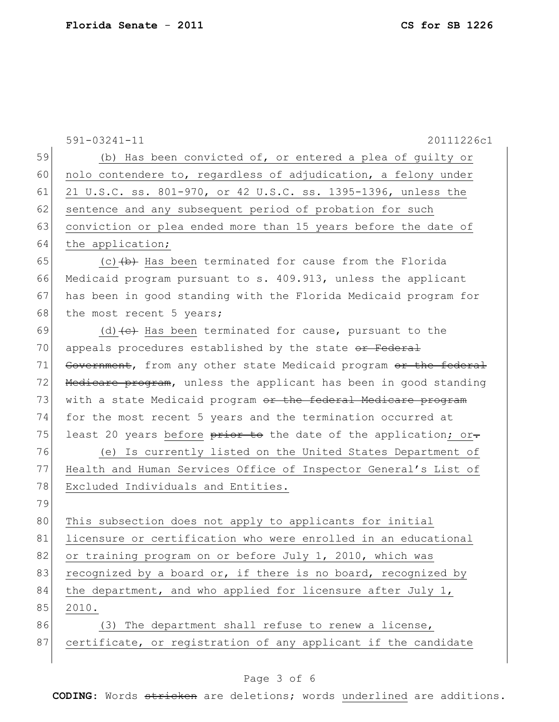591-03241-11 20111226c1 59 (b) Has been convicted of, or entered a plea of quilty or  $60$  nolo contendere to, regardless of adjudication, a felony under 61 21 U.S.C. ss. 801-970, or 42 U.S.C. ss. 1395-1396, unless the 62 sentence and any subsequent period of probation for such 63 conviction or plea ended more than 15 years before the date of 64 the application; 65 (c)  $\left\langle \theta \right\rangle$  Has been terminated for cause from the Florida 66 Medicaid program pursuant to s. 409.913, unless the applicant 67 has been in good standing with the Florida Medicaid program for 68 the most recent 5 years; 69 (d)  $\left\{ \frac{e}{f}\right\}$  Has been terminated for cause, pursuant to the 70 appeals procedures established by the state or Federal 71 Government, from any other state Medicaid program or the federal 72 Medicare program, unless the applicant has been in good standing 73 with a state Medicaid program or the federal Medicare program 74 for the most recent 5 years and the termination occurred at 75 least 20 years before  $\frac{1}{2}$  become to the date of the application; or. 76 (e) Is currently listed on the United States Department of 77 Health and Human Services Office of Inspector General's List of 78 Excluded Individuals and Entities. 79 80 This subsection does not apply to applicants for initial 81 licensure or certification who were enrolled in an educational 82 or training program on or before July 1, 2010, which was 83 recognized by a board or, if there is no board, recognized by  $84$  the department, and who applied for licensure after July 1, 85 2010. 86 (3) The department shall refuse to renew a license, 87 certificate, or registration of any applicant if the candidate

### Page 3 of 6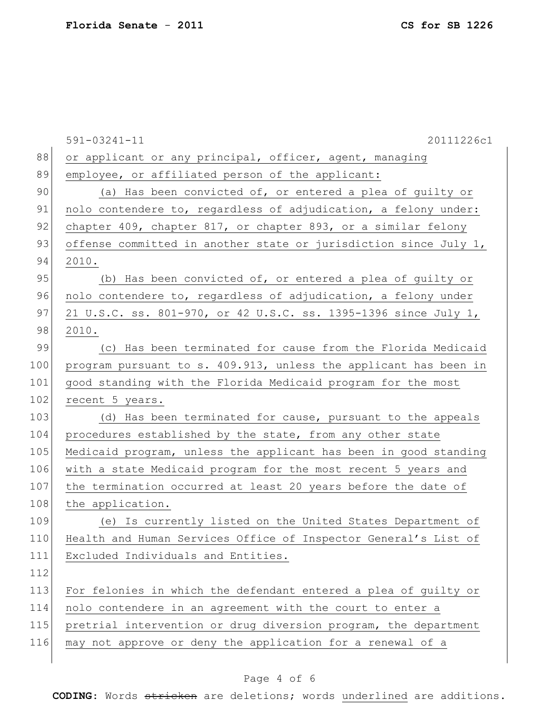|     | $591 - 03241 - 11$<br>20111226c1                                 |
|-----|------------------------------------------------------------------|
| 88  | or applicant or any principal, officer, agent, managing          |
| 89  | employee, or affiliated person of the applicant:                 |
| 90  | (a) Has been convicted of, or entered a plea of guilty or        |
| 91  | nolo contendere to, regardless of adjudication, a felony under:  |
| 92  | chapter 409, chapter 817, or chapter 893, or a similar felony    |
| 93  | offense committed in another state or jurisdiction since July 1, |
| 94  | 2010.                                                            |
| 95  | (b) Has been convicted of, or entered a plea of guilty or        |
| 96  | nolo contendere to, regardless of adjudication, a felony under   |
| 97  | 21 U.S.C. ss. 801-970, or 42 U.S.C. ss. 1395-1396 since July 1,  |
| 98  | 2010.                                                            |
| 99  | (c) Has been terminated for cause from the Florida Medicaid      |
| 100 | program pursuant to s. 409.913, unless the applicant has been in |
| 101 | good standing with the Florida Medicaid program for the most     |
| 102 | recent 5 years.                                                  |
| 103 | (d) Has been terminated for cause, pursuant to the appeals       |
| 104 | procedures established by the state, from any other state        |
| 105 | Medicaid program, unless the applicant has been in good standing |
| 106 | with a state Medicaid program for the most recent 5 years and    |
| 107 | the termination occurred at least 20 years before the date of    |
| 108 | the application.                                                 |
| 109 | (e) Is currently listed on the United States Department of       |
| 110 | Health and Human Services Office of Inspector General's List of  |
| 111 | Excluded Individuals and Entities.                               |
| 112 |                                                                  |
| 113 | For felonies in which the defendant entered a plea of guilty or  |
| 114 | nolo contendere in an agreement with the court to enter a        |
| 115 | pretrial intervention or drug diversion program, the department  |
| 116 | may not approve or deny the application for a renewal of a       |

# Page 4 of 6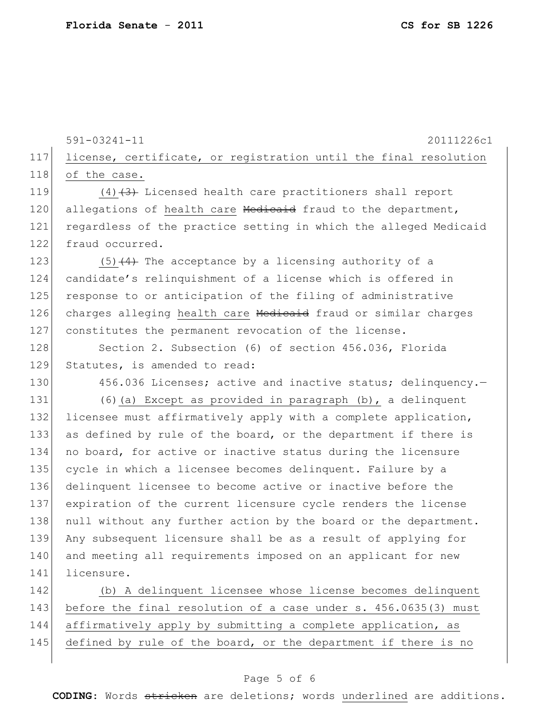141 licensure.

591-03241-11 20111226c1 117 license, certificate, or registration until the final resolution 118 of the case. 119  $(4)$   $(3)$  Licensed health care practitioners shall report 120 allegations of health care Medicaid fraud to the department, 121 regardless of the practice setting in which the alleged Medicaid 122 fraud occurred. 123 (5)  $\left(4\right)$  The acceptance by a licensing authority of a 124 candidate's relinquishment of a license which is offered in 125 response to or anticipation of the filing of administrative 126 charges alleging health care Medicaid fraud or similar charges 127 constitutes the permanent revocation of the license. 128 Section 2. Subsection (6) of section 456.036, Florida 129 Statutes, is amended to read: 130 456.036 Licenses; active and inactive status; delinquency. 131 (6) (a) Except as provided in paragraph (b), a delinquent 132 licensee must affirmatively apply with a complete application, 133 as defined by rule of the board, or the department if there is 134 no board, for active or inactive status during the licensure 135 cycle in which a licensee becomes delinquent. Failure by a 136 delinquent licensee to become active or inactive before the 137 expiration of the current licensure cycle renders the license 138 | null without any further action by the board or the department. 139 Any subsequent licensure shall be as a result of applying for 140 and meeting all requirements imposed on an applicant for new

 (b) A delinquent licensee whose license becomes delinquent 143 before the final resolution of a case under s. 456.0635(3) must affirmatively apply by submitting a complete application, as defined by rule of the board, or the department if there is no

### Page 5 of 6